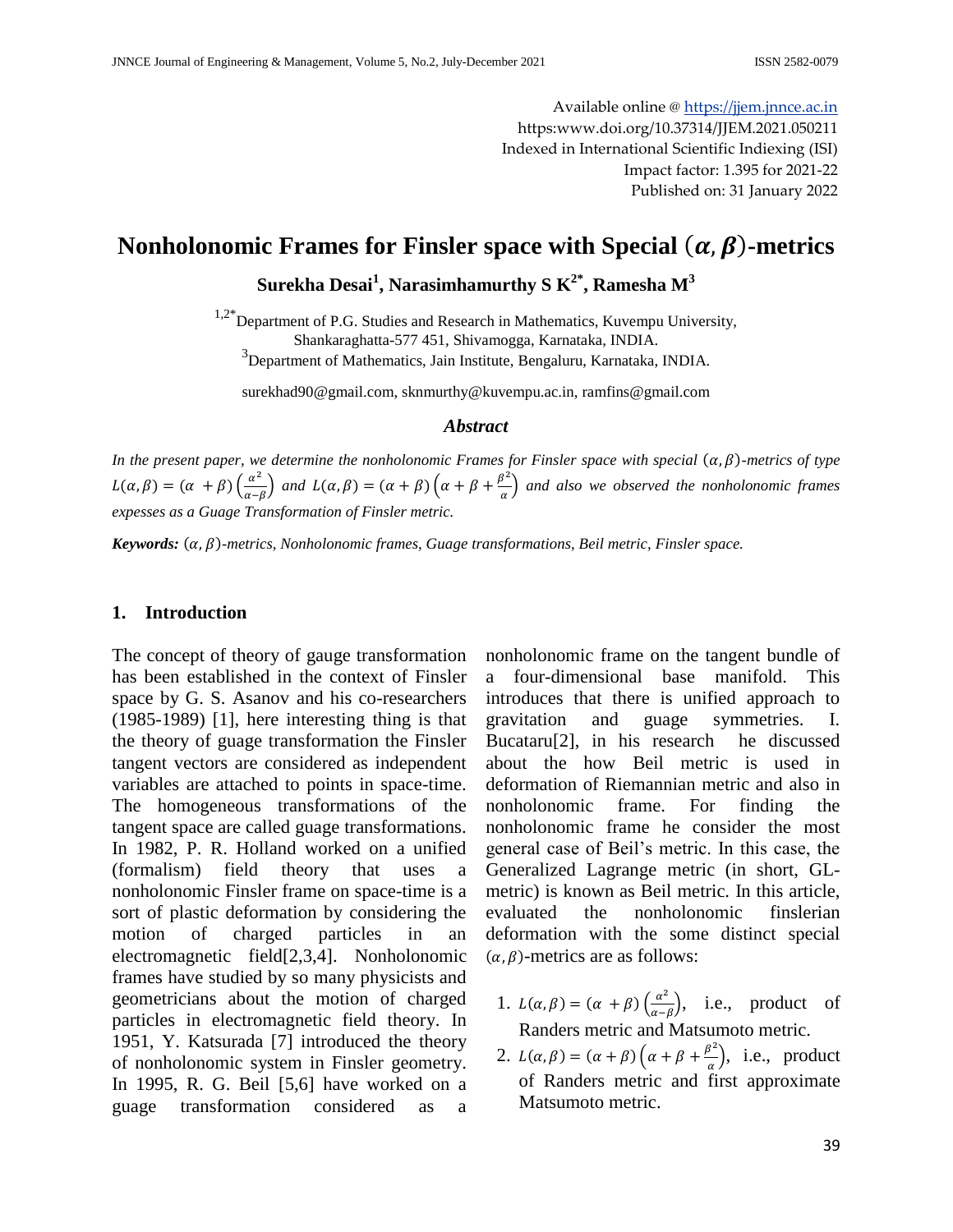Available online @ [https://jjem.jnnce.ac.in](https://jjem.jnnce.ac.in/) https:www.doi.org/10.37314/JJEM.2021.050211 Indexed in International Scientific Indiexing (ISI) Impact factor: 1.395 for 2021-22 Published on: 31 January 2022

# **Nonholonomic Frames for Finsler space with Special**  $(\alpha, \beta)$ **-metrics**

## **Surekha Desai<sup>1</sup> , Narasimhamurthy S K2\* , Ramesha M<sup>3</sup>**

 $1.2^*$ Department of P.G. Studies and Research in Mathematics, Kuvempu University, Shankaraghatta-577 451, Shivamogga, Karnataka, INDIA.

3 Department of Mathematics, Jain Institute, Bengaluru, Karnataka, INDIA.

[surekhad90@gmail.com,](mailto:surekhad90@gmail.com) [sknmurthy@kuvempu.ac.in,](mailto:sknmurthy@kuvempu.ac.in) [ramfins@gmail.com](mailto:ramfins@gmail.com)

#### *Abstract*

*In the present paper, we determine the nonholonomic Frames for Finsler space with special*  $(\alpha, \beta)$ -metrics of type  $L(\alpha, \beta) = (\alpha + \beta) \left( \frac{\alpha^2}{\alpha} \right)$  $\left(\frac{\alpha^2}{\alpha-\beta}\right)$  and  $L(\alpha,\beta) = (\alpha+\beta)\left(\alpha+\beta+\frac{\beta^2}{\alpha}\right)$  $\frac{a}{a}$  and also we observed the nonholonomic frames *expesses as a Guage Transformation of Finsler metric.*

*Keywords: -metrics, Nonholonomic frames, Guage transformations, Beil metric, Finsler space.*

#### **1. Introduction**

The concept of theory of gauge transformation has been established in the context of Finsler space by G. S. Asanov and his co-researchers (1985-1989) [1], here interesting thing is that the theory of guage transformation the Finsler tangent vectors are considered as independent variables are attached to points in space-time. The homogeneous transformations of the tangent space are called guage transformations. In 1982, P. R. Holland worked on a unified (formalism) field theory that uses a nonholonomic Finsler frame on space-time is a sort of plastic deformation by considering the motion of charged particles in an electromagnetic field[2,3,4]. Nonholonomic frames have studied by so many physicists and geometricians about the motion of charged particles in electromagnetic field theory. In 1951, Y. Katsurada [7] introduced the theory of nonholonomic system in Finsler geometry. In 1995, R. G. Beil [5,6] have worked on a guage transformation considered as a

nonholonomic frame on the tangent bundle of a four-dimensional base manifold. This introduces that there is unified approach to gravitation and guage symmetries. I. Bucataru[2], in his research he discussed about the how Beil metric is used in deformation of Riemannian metric and also in nonholonomic frame. For finding the nonholonomic frame he consider the most general case of Beil's metric. In this case, the Generalized Lagrange metric (in short, GLmetric) is known as Beil metric. In this article, evaluated the nonholonomic finslerian deformation with the some distinct special  $(\alpha, \beta)$ -metrics are as follows:

- 1.  $L(\alpha, \beta) = (\alpha + \beta) \left( \frac{\alpha^2}{\alpha} \right)$  $\frac{\alpha^2}{\alpha - \beta}$ , i.e., product of Randers metric and Matsumoto metric.
- 2.  $L(\alpha, \beta) = (\alpha + \beta) \left( \alpha + \beta + \frac{\beta^2}{\alpha} \right)$  $\frac{\partial^2}{\partial x^2}$ , i.e., product of Randers metric and first approximate Matsumoto metric.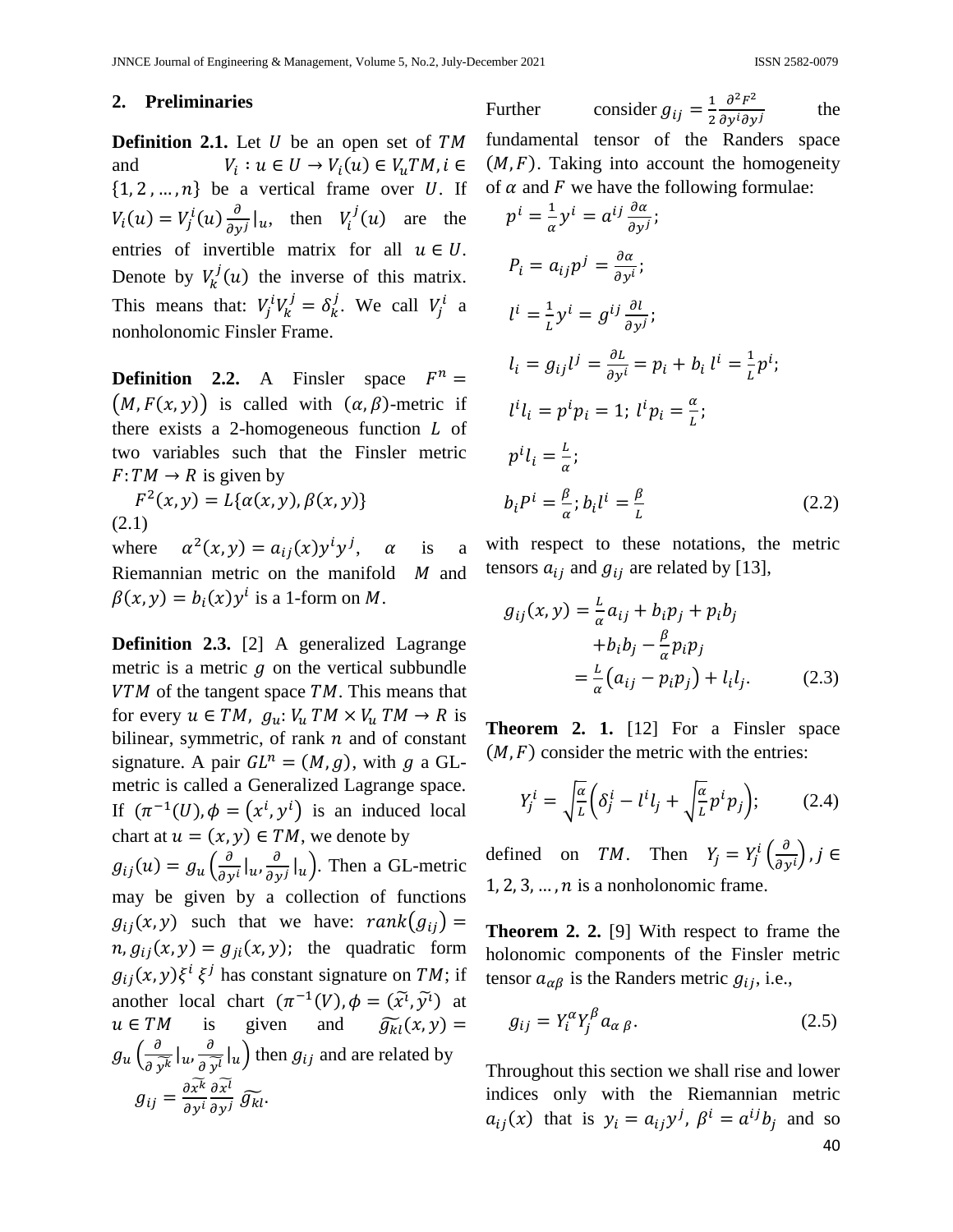#### **2. Preliminaries**

**Definition 2.1.** Let U be an open set of TM and  $: u \in U \rightarrow V_i$  $\{1, 2, ..., n\}$  be a vertical frame over U. If  $V_i(u) = V_i^i(u) \frac{\partial}{\partial u}$  $\frac{\partial}{\partial y^j}\big|_u$ , then  $V_i^j(u)$  are the entries of invertible matrix for all  $u \in U$ . Denote by  $V_k^j(u)$  the inverse of this matrix. This means that:  $V_i^i V_k^j = \delta_k^j$ . We call  $V_i^i$  a nonholonomic Finsler Frame.

**Definition 2.2.** A Finsler space  $F^n$  $(M, F(x, y))$  is called with  $(\alpha, \beta)$ -metric if there exists a 2-homogeneous function  $L$  of two variables such that the Finsler metric  $F: TM \rightarrow R$  is given by

 $^{2}$  ( (2.1)

where  $a^2(x, y) = a_{ij}(x)y^i y^j$ ,  $\alpha$  is a Riemannian metric on the manifold  $M$  and  $\beta(x, y) = b_i(x)y^i$  is a 1-form on M.

**Definition 2.3.** [2] A generalized Lagrange metric is a metric  $q$  on the vertical subbundle  $VTM$  of the tangent space  $TM$ . This means that for every  $u \in TM$ ,  $g_u: V_u TM \times V_u TM \rightarrow R$  is bilinear, symmetric, of rank  $n$  and of constant signature. A pair  $GL^n = (M, g)$ , with g a GLmetric is called a Generalized Lagrange space. If  $(\pi^{-1}(U), \phi = (x^i, y^i)$  is an induced local chart at  $u = (x, y) \in TM$ , we denote by  $g_{ij}(u) = g_u\left(\frac{\partial}{\partial u}\right)$  $rac{\partial}{\partial y^i}\big|_u, \frac{\partial}{\partial y^i}$  $\frac{\partial}{\partial y^j}\big|_u$ ). Then a GL-metric may be given by a collection of functions  $g_{ij}(x, y)$  such that we have:  $rank(g_{ij}) =$  $n, g_{ij}(x, y) = g_{ji}(x, y)$ ; the quadratic form  $g_{ij}(x, y)\xi^i \xi^j$  has constant signature on TM; if another local chart  $(\pi^{-1}(V), \phi = (\tilde{x}^{\iota}, \tilde{y}^{\iota})$  at  $\widetilde{g_{kl}}(x,y) =$  $u \in TM$  is given and  $g_u\left(\frac{\partial}{\partial x}\right)$  $rac{\partial}{\partial \widetilde{y^k}}|_u, \frac{\partial}{\partial \widetilde{y}}$  $\frac{\partial}{\partial \widetilde{y}^l}|_u\big)$  then  $g_{ij}$  and are related by д д д д

Further consider  $g_{ij} = \frac{1}{2}$  $\overline{\mathbf{c}}$  $\partial^2 F^2$ д the fundamental tensor of the Randers space  $(M, F)$ . Taking into account the homogeneity of  $\alpha$  and  $F$  we have the following formulae:

$$
p^{i} = \frac{1}{\alpha} y^{i} = a^{ij} \frac{\partial \alpha}{\partial y^{j}};
$$
  
\n
$$
P_{i} = a_{ij} p^{j} = \frac{\partial \alpha}{\partial y^{i}};
$$
  
\n
$$
l^{i} = \frac{1}{L} y^{i} = g^{ij} \frac{\partial l}{\partial y^{j}};
$$
  
\n
$$
l_{i} = g_{ij} l^{j} = \frac{\partial L}{\partial y^{i}} = p_{i} + b_{i} l^{i} = \frac{1}{L} p^{i};
$$
  
\n
$$
l^{i} l_{i} = p^{i} p_{i} = 1; l^{i} p_{i} = \frac{\alpha}{L};
$$
  
\n
$$
p^{i} l_{i} = \frac{L}{\alpha};
$$
  
\n
$$
b_{i} P^{i} = \frac{\beta}{\alpha}; b_{i} l^{i} = \frac{\beta}{L}
$$
\n(2.2)

with respect to these notations, the metric tensors  $a_{ij}$  and  $g_{ij}$  are related by [13],

$$
g_{ij}(x, y) = \frac{L}{\alpha} a_{ij} + b_i p_j + p_i b_j
$$
  
+
$$
b_i b_j - \frac{\beta}{\alpha} p_i p_j
$$
  
= 
$$
\frac{L}{\alpha} (a_{ij} - p_i p_j) + l_i l_j.
$$
 (2.3)

**Theorem 2. 1.** [12] For a Finsler space  $(M, F)$  consider the metric with the entries:

$$
Y_j^i = \sqrt{\frac{\alpha}{L}} \left( \delta_j^i - l^i l_j + \sqrt{\frac{\alpha}{L}} p^i p_j \right); \tag{2.4}
$$

defined on TM. Then  $Y_i = Y_i^i \left( \frac{\partial}{\partial x_i} \right)$  $\frac{\partial}{\partial y^i}$  $1, 2, 3, \ldots, n$  is a nonholonomic frame.

**Theorem 2. 2.** [9] With respect to frame the holonomic components of the Finsler metric tensor  $a_{\alpha\beta}$  is the Randers metric  $g_{ij}$ , i.e.,

$$
g_{ij} = Y_i^{\alpha} Y_j^{\beta} a_{\alpha \beta}.
$$
 (2.5)

40 Throughout this section we shall rise and lower indices only with the Riemannian metric  $a_{ij}(x)$  that is  $y_i = a_{ij}y^j$ ,  $\beta^i = a^{ij}b_j$  and so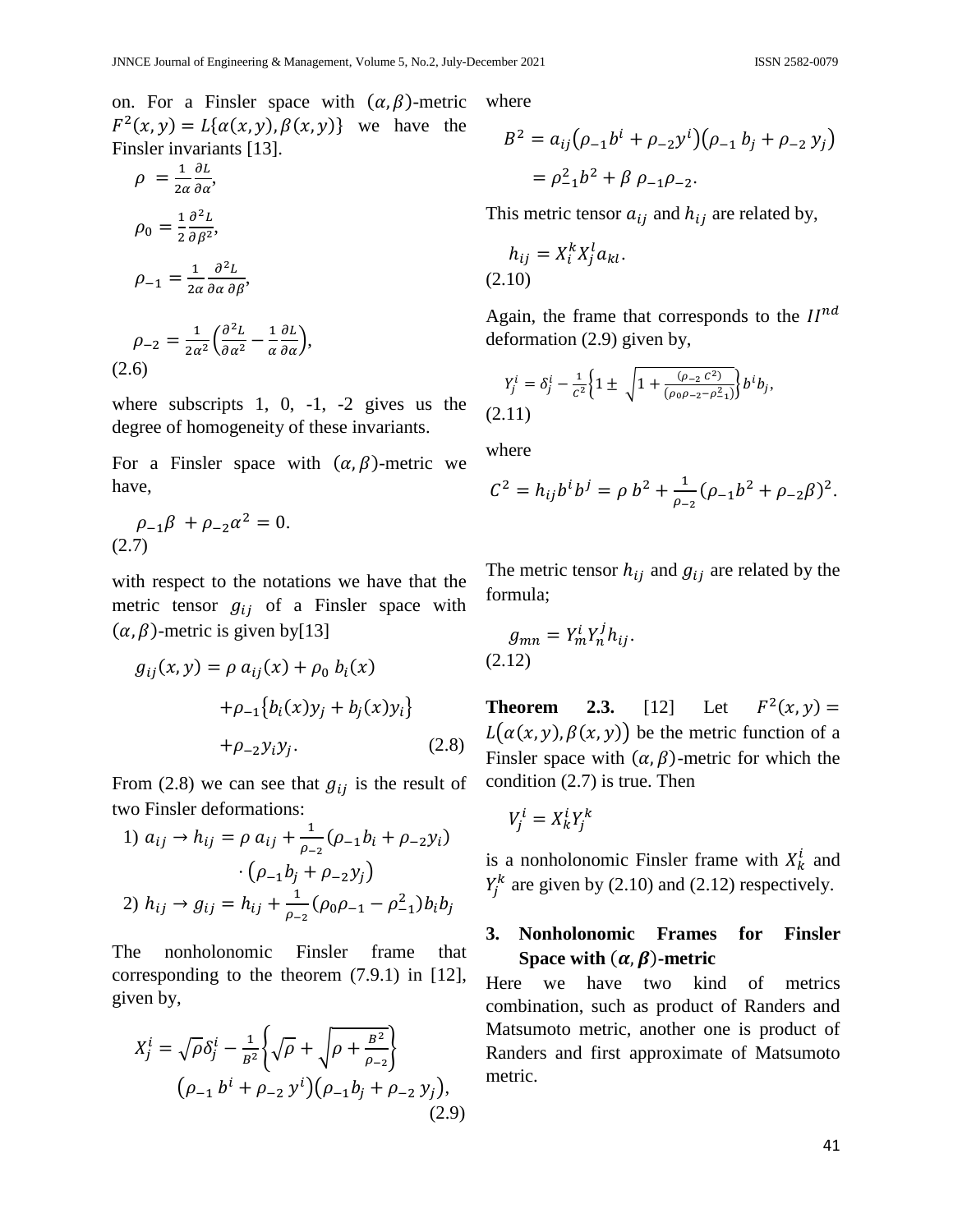on. For a Finsler space with  $(\alpha, \beta)$ -metric  $F^2(x, y) = L\{\alpha(x, y), \beta(x, y)\}\$  we have the Finsler invariants [13].

$$
\rho = \frac{1}{2\alpha} \frac{\partial L}{\partial \alpha},
$$
  
\n
$$
\rho_0 = \frac{1}{2} \frac{\partial^2 L}{\partial \beta^2},
$$
  
\n
$$
\rho_{-1} = \frac{1}{2\alpha} \frac{\partial^2 L}{\partial \alpha \partial \beta},
$$
  
\n
$$
\rho_{-2} = \frac{1}{2\alpha} \left( \frac{\partial^2 L}{\partial \beta^2} - \frac{1}{2} \frac{\partial L}{\partial \beta} \right),
$$

$$
\rho_{-2} = \frac{1}{2\alpha^2} \left( \frac{\partial^2 L}{\partial \alpha^2} - \frac{1}{\alpha} \frac{\partial L}{\partial \alpha} \right),
$$
\n(2.6)

where subscripts 1, 0, -1, -2 gives us the degree of homogeneity of these invariants.

For a Finsler space with  $(\alpha, \beta)$ -metric we have,

$$
\rho_{-1}\beta + \rho_{-2}\alpha^2 = 0.
$$
\n(2.7)

with respect to the notations we have that the metric tensor  $g_{ij}$  of a Finsler space with  $(\alpha, \beta)$ -metric is given by[13]

$$
g_{ij}(x, y) = \rho a_{ij}(x) + \rho_0 b_i(x)
$$
  
+ 
$$
\rho_{-1} \{b_i(x)y_j + b_j(x)y_i\}
$$
  
+ 
$$
\rho_{-2} y_i y_i.
$$
 (2.8)

From (2.8) we can see that  $g_{ij}$  is the result of two Finsler deformations:

1) 
$$
a_{ij} \rightarrow h_{ij} = \rho a_{ij} + \frac{1}{\rho_{-2}} (\rho_{-1}b_i + \rho_{-2}y_i)
$$
  
\n
$$
\cdot (\rho_{-1}b_j + \rho_{-2}y_j)
$$
\n2)  $h_{ij} \rightarrow g_{ij} = h_{ij} + \frac{1}{\rho_{-2}} (\rho_0 \rho_{-1} - \rho_{-1}^2) b_i b_j$ 

The nonholonomic Finsler frame that corresponding to the theorem (7.9.1) in [12], given by,

$$
X_j^i = \sqrt{\rho} \delta_j^i - \frac{1}{B^2} \left\{ \sqrt{\rho} + \sqrt{\rho + \frac{B^2}{\rho_{-2}}} \right\}
$$
  

$$
(\rho_{-1} b^i + \rho_{-2} y^i)(\rho_{-1} b_j + \rho_{-2} y_j),
$$
  
(2.9)

where

$$
B^{2} = a_{ij} (\rho_{-1} b^{i} + \rho_{-2} y^{i}) (\rho_{-1} b_{j} + \rho_{-2} y_{j})
$$
  
=  $\rho_{-1}^{2} b^{2} + \beta \rho_{-1} \rho_{-2}.$ 

This metric tensor  $a_{ij}$  and  $h_{ij}$  are related by,

$$
h_{ij} = X_i^k X_j^l a_{kl}.
$$
  
(2.10)

Again, the frame that corresponds to the  $II^n$ deformation (2.9) given by,

$$
Y_j^i = \delta_j^i - \frac{1}{c^2} \Big\{ 1 \pm \sqrt{1 + \frac{(\rho_{-2} c^2)}{(\rho_0 \rho_{-2} - \rho_{-1}^2)}} \Big\} b^i b_j,
$$
\n(2.11)

where

$$
C^{2} = h_{ij}b^{i}b^{j} = \rho b^{2} + \frac{1}{\rho_{-2}}(\rho_{-1}b^{2} + \rho_{-2}\beta)^{2}.
$$

The metric tensor  $h_{ij}$  and  $g_{ij}$  are related by the formula;

$$
g_{mn} = Y_m^i Y_n^j h_{ij}.
$$
\n(2.12)

**Theorem 2.3.** [12] Let  $F^2$  (  $L(\alpha(x, y), \beta(x, y))$  be the metric function of a Finsler space with  $(\alpha, \beta)$ -metric for which the condition (2.7) is true. Then

$$
V^i_j = X^i_k Y^k_j
$$

is a nonholonomic Finsler frame with  $X_k^i$  and  $Y_i^k$  are given by (2.10) and (2.12) respectively.

### **3. Nonholonomic Frames for Finsler Space with**  $(\alpha, \beta)$ **-metric**

Here we have two kind of metrics combination, such as product of Randers and Matsumoto metric, another one is product of Randers and first approximate of Matsumoto metric.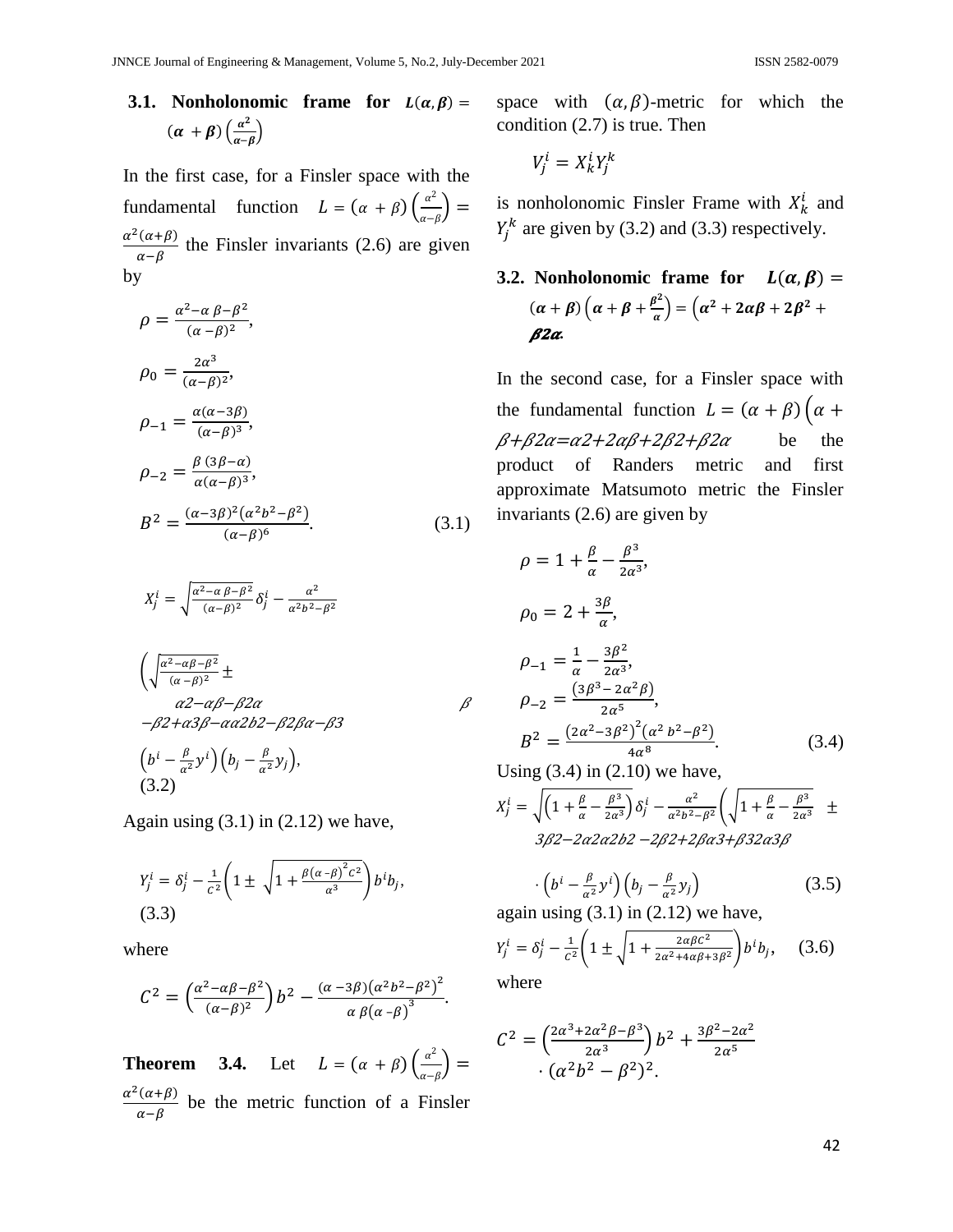#### **3.1. Nonholonomic frame for**  $L(\alpha, \beta) =$  $(\alpha + \beta) \left( \frac{\alpha^2}{\alpha} \right)$  $\frac{a}{\alpha-\beta}$

In the first case, for a Finsler space with the fundamental function  $L = (\alpha + \beta) \left( \frac{\alpha^2}{2} \right)$  $\frac{a}{\alpha-\beta}$  $\alpha^2$  $\frac{(\alpha+\beta)}{\alpha-\beta}$  the Finsler invariants (2.6) are given by

$$
\rho = \frac{\alpha^2 - \alpha \beta - \beta^2}{(\alpha - \beta)^2},
$$
  
\n
$$
\rho_0 = \frac{2\alpha^3}{(\alpha - \beta)^2},
$$
  
\n
$$
\rho_{-1} = \frac{\alpha(\alpha - 3\beta)}{(\alpha - \beta)^3},
$$
  
\n
$$
\rho_{-2} = \frac{\beta (3\beta - \alpha)}{\alpha(\alpha - \beta)^3},
$$
  
\n
$$
B^2 = \frac{(\alpha - 3\beta)^2 (\alpha^2 b^2 - \beta^2)}{(\alpha - \beta)^6}.
$$
\n(3.1)

$$
X_j^i = \sqrt{\frac{\alpha^2 - \alpha \beta - \beta^2}{(\alpha - \beta)^2}} \delta_j^i - \frac{\alpha^2}{\alpha^2 b^2 - \beta^2}
$$

$$
\left(\sqrt{\frac{\alpha^2 - \alpha \beta - \beta^2}{(\alpha - \beta)^2}} \pm \frac{\alpha^2 - \alpha \beta - \beta^2 \alpha}{\alpha^2 - \alpha \beta^2 - \alpha \alpha^2 \beta^2 - \beta^2 \beta \alpha - \beta^2}\right)
$$
\n
$$
\left(b^i - \frac{\beta}{\alpha^2} y^i\right) \left(b_j - \frac{\beta}{\alpha^2} y_j\right),
$$
\n(3.2)

Again using  $(3.1)$  in  $(2.12)$  we have,

$$
Y_j^i = \delta_j^i - \frac{1}{c^2} \left( 1 \pm \sqrt{1 + \frac{\beta (\alpha - \beta)^2 c^2}{\alpha^3}} \right) b^i b_j,
$$
  
(3.3)

where

$$
C^{2} = \left(\frac{\alpha^{2} - \alpha\beta - \beta^{2}}{(\alpha - \beta)^{2}}\right) b^{2} - \frac{(\alpha - 3\beta)(\alpha^{2}b^{2} - \beta^{2})^{2}}{\alpha \beta(\alpha - \beta)^{3}}.
$$

**Theorem 3.4.** Let  $L = (\alpha + \beta) \left( \frac{\alpha^2}{\alpha} \right)$  $\frac{a}{\alpha-\beta}$  $\alpha^2$  $\frac{(\alpha+\beta)}{\alpha-\beta}$  be the metric function of a Finsler space with  $(\alpha, \beta)$ -metric for which the condition (2.7) is true. Then

$$
V_j^i = X_k^i Y_j^k
$$

is nonholonomic Finsler Frame with  $X_k^i$  and  $Y_i^k$  are given by (3.2) and (3.3) respectively.

3.2. Nonholonomic frame for 
$$
L(\alpha, \beta) =
$$
  
\n
$$
(\alpha + \beta) (\alpha + \beta + \frac{\beta^2}{\alpha}) = (\alpha^2 + 2\alpha\beta + 2\beta^2 + \beta^2)
$$
\n
$$
\beta 2\alpha.
$$

In the second case, for a Finsler space with the fundamental function  $L = (\alpha + \beta) (\alpha +$  $\beta+\beta2\alpha=\alpha2+2\alpha\beta+2\beta2+\beta2\alpha$  be the product of Randers metric and first approximate Matsumoto metric the Finsler invariants (2.6) are given by

$$
\rho = 1 + \frac{\beta}{\alpha} - \frac{\beta^3}{2\alpha^3},
$$
  
\n
$$
\rho_0 = 2 + \frac{3\beta}{\alpha},
$$
  
\n
$$
\rho_{-1} = \frac{1}{\alpha} - \frac{3\beta^2}{2\alpha^3},
$$
  
\n
$$
\rho_{-2} = \frac{(3\beta^3 - 2\alpha^2 \beta)}{2\alpha^5},
$$
  
\n
$$
B^2 = \frac{(2\alpha^2 - 3\beta^2)^2 (\alpha^2 b^2 - \beta^2)}{4\alpha^8}.
$$
  
\nUsing (3.4) in (2.10) we have

Using  $(3.4)$  in  $(2.10)$  we have,

$$
X_j^i = \sqrt{\left(1 + \frac{\beta}{\alpha} - \frac{\beta^3}{2\alpha^3}\right)} \delta_j^i - \frac{\alpha^2}{\alpha^2 b^2 - \beta^2} \left(\sqrt{1 + \frac{\beta}{\alpha} - \frac{\beta^3}{2\alpha^3}} \pm \frac{\beta^2}{2\alpha^2 b^2 - 2\alpha^2 a^2 b^2 - 2\beta^2 + 2\beta a^2 + \beta^2 a^2 b^2}\right)
$$

$$
\cdot \left(b^i - \frac{\beta}{\alpha^2} y^i\right) \left(b_j - \frac{\beta}{\alpha^2} y_j\right) \tag{3.5}
$$

again using  $(3.1)$  in  $(2.12)$  we have,

$$
Y_j^i = \delta_j^i - \frac{1}{c^2} \left( 1 \pm \sqrt{1 + \frac{2\alpha\beta c^2}{2\alpha^2 + 4\alpha\beta + 3\beta^2}} \right) b^i b_j, \quad (3.6)
$$

where

 $\beta$ 

$$
C2 = \left(\frac{2\alpha^3 + 2\alpha^2 \beta - \beta^3}{2\alpha^3}\right) b^2 + \frac{3\beta^2 - 2\alpha^2}{2\alpha^5} \cdot \left(\alpha^2 b^2 - \beta^2\right)^2.
$$